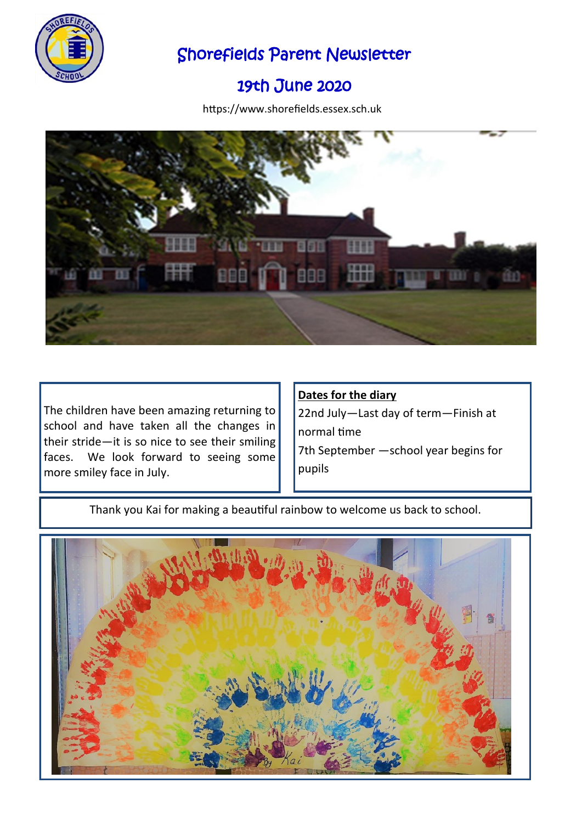

## Shorefields Parent Newsletter

# 19th June 2020

https://www.shorefields.essex.sch.uk



The children have been amazing returning to school and have taken all the changes in their stride—it is so nice to see their smiling faces. We look forward to seeing some more smiley face in July.

#### **Dates for the diary**

22nd July—Last day of term—Finish at normal time 7th September —school year begins for pupils

Thank you Kai for making a beautiful rainbow to welcome us back to school.

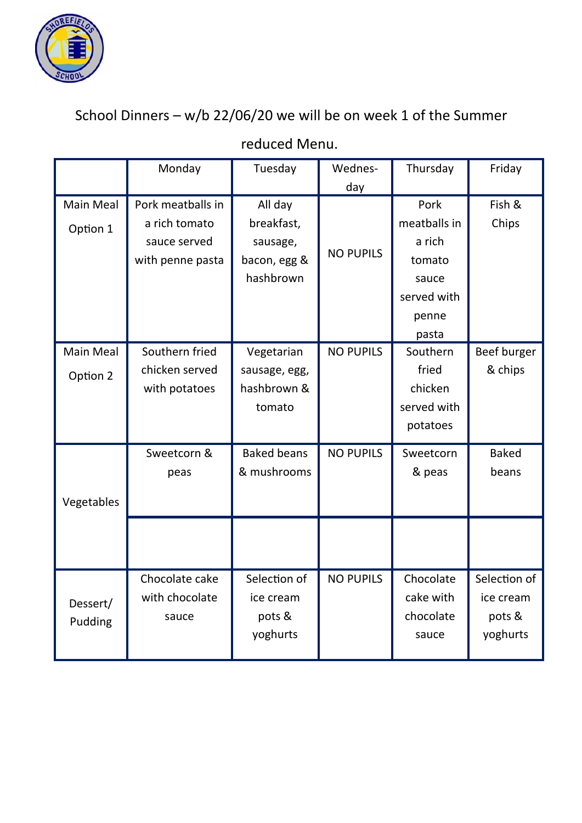

School Dinners – w/b 22/06/20 we will be on week 1 of the Summer

|                  | Monday            | Tuesday            | Wednes-          | Thursday     | Friday       |
|------------------|-------------------|--------------------|------------------|--------------|--------------|
|                  |                   |                    | day              |              |              |
| <b>Main Meal</b> | Pork meatballs in | All day            |                  | Pork         | Fish &       |
| Option 1         | a rich tomato     | breakfast,         |                  | meatballs in | Chips        |
|                  | sauce served      | sausage,           | <b>NO PUPILS</b> | a rich       |              |
|                  | with penne pasta  | bacon, egg &       |                  | tomato       |              |
|                  |                   | hashbrown          |                  | sauce        |              |
|                  |                   |                    |                  | served with  |              |
|                  |                   |                    |                  | penne        |              |
|                  |                   |                    |                  | pasta        |              |
| <b>Main Meal</b> | Southern fried    | Vegetarian         | <b>NO PUPILS</b> | Southern     | Beef burger  |
| Option 2         | chicken served    | sausage, egg,      |                  | fried        | & chips      |
|                  | with potatoes     | hashbrown &        |                  | chicken      |              |
|                  |                   | tomato             |                  | served with  |              |
|                  |                   |                    |                  | potatoes     |              |
|                  | Sweetcorn &       | <b>Baked beans</b> | <b>NO PUPILS</b> | Sweetcorn    | <b>Baked</b> |
|                  | peas              | & mushrooms        |                  | & peas       | beans        |
|                  |                   |                    |                  |              |              |
| Vegetables       |                   |                    |                  |              |              |
|                  |                   |                    |                  |              |              |
|                  |                   |                    |                  |              |              |
|                  | Chocolate cake    | Selection of       | <b>NO PUPILS</b> | Chocolate    | Selection of |
|                  | with chocolate    | ice cream          |                  | cake with    | ice cream    |
| Dessert/         | sauce             | pots &             |                  | chocolate    | pots &       |
| Pudding          |                   | yoghurts           |                  | sauce        | yoghurts     |
|                  |                   |                    |                  |              |              |

## reduced Menu.